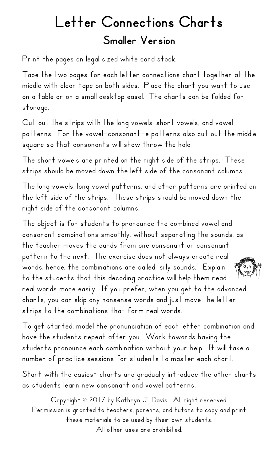## Letter Connections Charts Smaller Version

Print the pages on legal sized white card stock.

Tape the two pages for each letter connections chart together at the middle with clear tape on both sides. Place the chart you want to use on a table or on a small desktop easel. The charts can be folded for storage.

Cut out the strips with the long vowels, short vowels, and vowel patterns. For the vowel-consonant-e patterns also cut out the middle square so that consonants will show throw the hole.

The short vowels are printed on the right side of the strips. These strips should be moved down the left side of the consonant columns.

The long vowels, long vowel patterns, and other patterns are printed on the left side of the strips. These strips should be moved down the right side of the consonant columns.

The object is for students to pronounce the combined vowel and consonant combinations smoothly, without separating the sounds, as the teacher moves the cards from one consonant or consonant pattern to the next. The exercise does not always create real اڻونه<br>مر<u>ا</u>ضي words, hence, the combinations are called "silly sounds." Explain to the students that this decoding practice will help them read real words more easily. If you prefer, when you get to the advanced charts, you can skip any nonsense words and just move the letter strips to the combinations that form real words.

To get started, model the pronunciation of each letter combination and have the students repeat after you. Work towards having the students pronounce each combination without your help. It will take a number of practice sessions for students to master each chart.

Start with the easiest charts and gradually introduce the other charts as students learn new consonant and vowel patterns.

Copyright © 2017 by Kathryn J. Davis. All right reserved. Permission is granted to teachers, parents, and tutors to copy and print these materials to be used by their own students. All other uses are prohibited.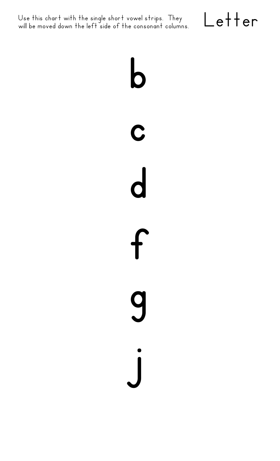Use this chart with the single short vowel strips. They  $\Box e$   $\vdash$   $\vdash$   $\vdash$   $\vdash$   $\vdash$ 



**b c d f g j**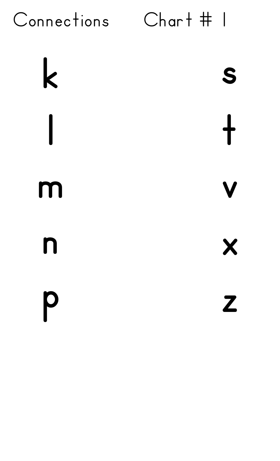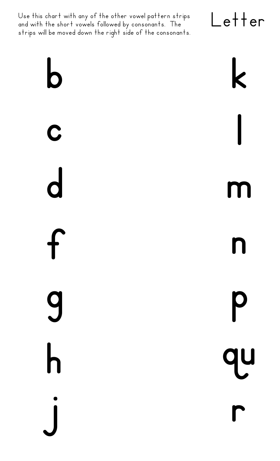Use this chart with any of the other vowel pattern strips and with the short vowels followed by consonants. The strips will be moved down the right side of the consonants.

**b**

**c**

**d**

**f**

**g**

**h**

**j**

Letter **k l m n p qu**

**r**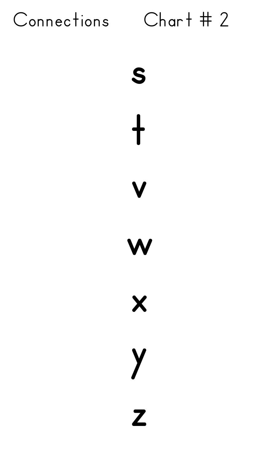









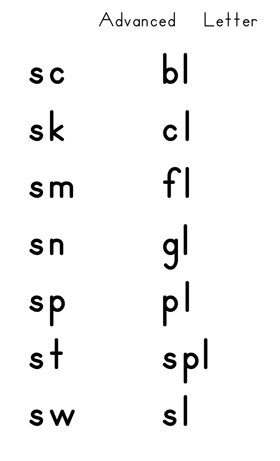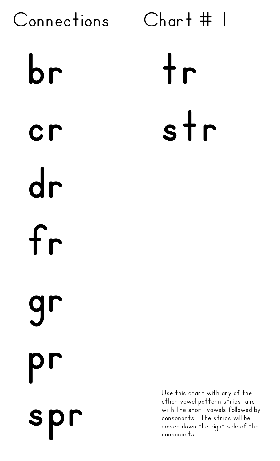Connections Chart # 1 **br cr dr fr gr pr spr tr str** consonants.

Use this chart with any of the other vowel pattern strips and with the short vowels followed by consonants. The strips will be moved down the right side of the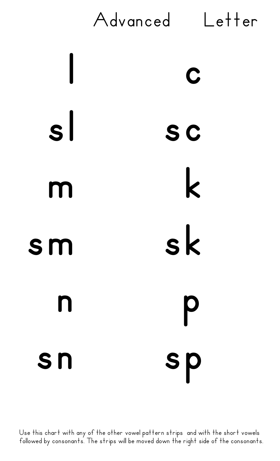

Use this chart with any of the other vowel pattern strips and with the short vowels followed by consonants. The strips will be moved down the right side of the consonants.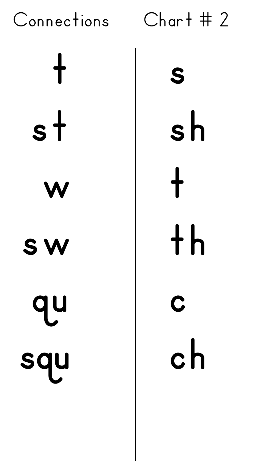

**s sh t th c ch**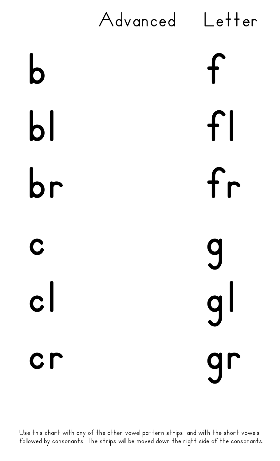![](_page_9_Figure_0.jpeg)

Use this chart with any of the other vowel pattern strips and with the short vowels followed by consonants. The strips will be moved down the right side of the consonants.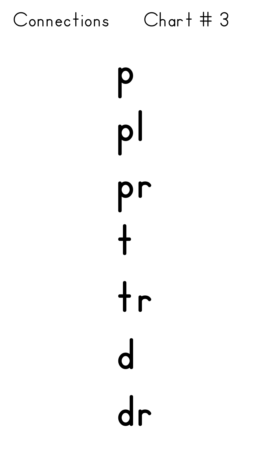![](_page_10_Picture_0.jpeg)

**p pl pr t tr d dr**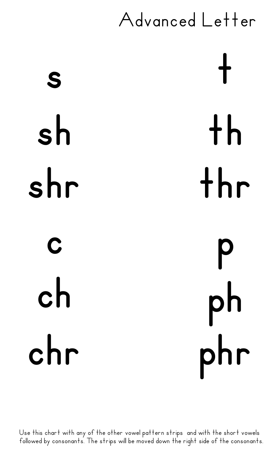## Advanced Letter

**s sh shr c ch chr t th thr p ph phr**

Use this chart with any of the other vowel pattern strips and with the short vowels followed by consonants. The strips will be moved down the right side of the consonants.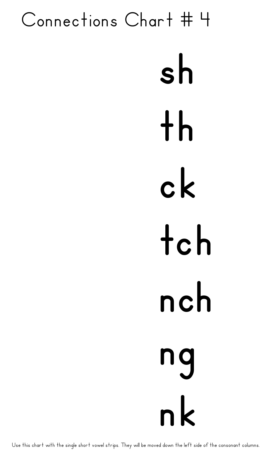## **sh th ck tch nch ng nk** Connections Chart # 4

Use this chart with the single short vowel strips. They will be moved down the left side of the consonant columns.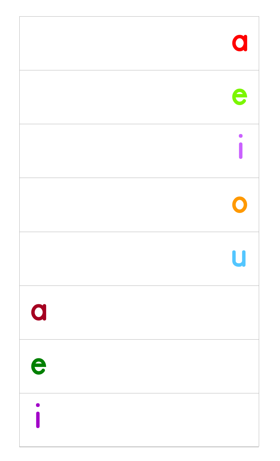|                         | $\mathbf 0$ |
|-------------------------|-------------|
|                         | e           |
|                         |             |
|                         | $\bullet$   |
|                         | U           |
| $\overline{\mathbf{Q}}$ |             |
| e                       |             |
|                         |             |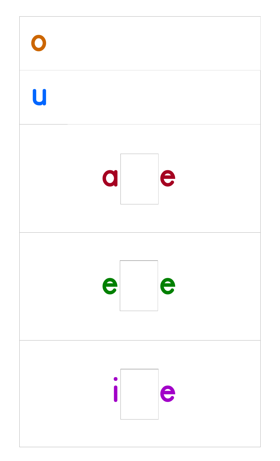![](_page_14_Picture_0.jpeg)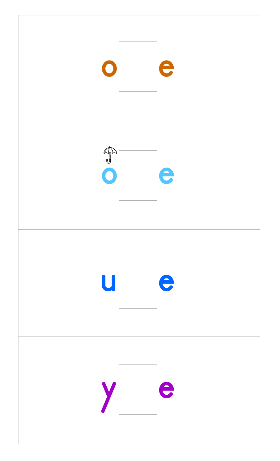![](_page_15_Picture_0.jpeg)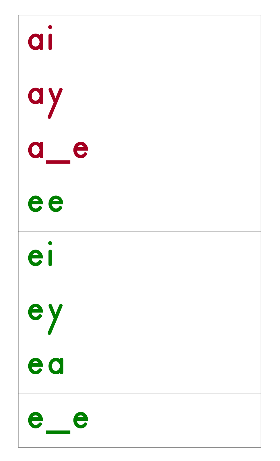| a                  |
|--------------------|
| ay                 |
| e<br>O             |
| ee                 |
| el                 |
| ey                 |
| ea                 |
| $\hat{\mathbf{r}}$ |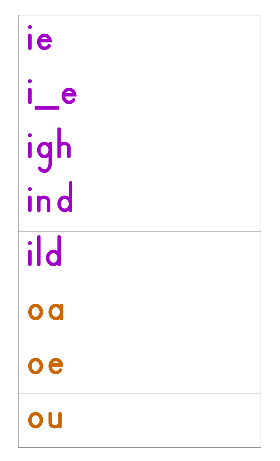| ie                      |  |
|-------------------------|--|
| e                       |  |
| igh                     |  |
| ind                     |  |
| ild                     |  |
| $\overline{\mathbf{O}}$ |  |
| $\circ$ e               |  |
|                         |  |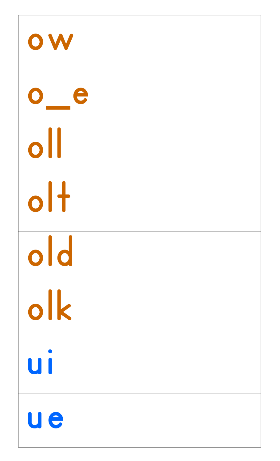![](_page_18_Figure_0.jpeg)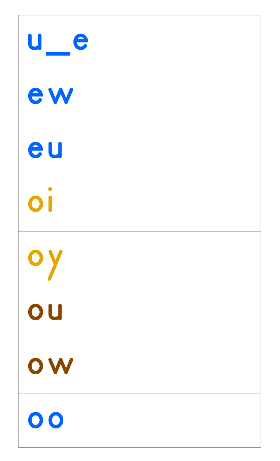![](_page_19_Figure_0.jpeg)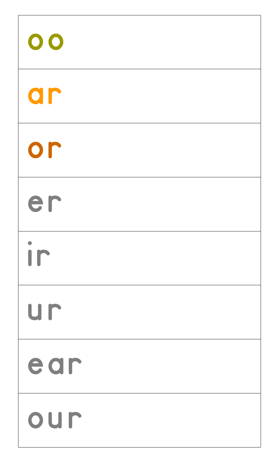![](_page_20_Figure_0.jpeg)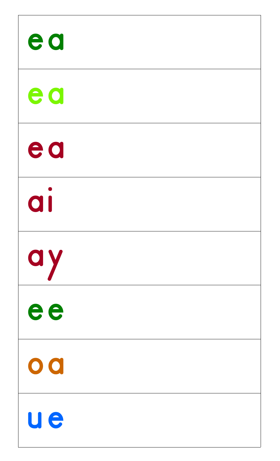![](_page_21_Figure_0.jpeg)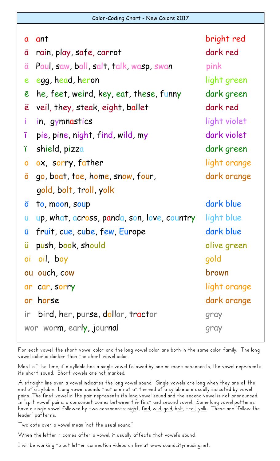| $\mathbf a$      | ant                                         | bright red   |
|------------------|---------------------------------------------|--------------|
| ā                | rain, play, safe, carrot                    | dark red     |
| ä                | Paul, saw, ball, salt, talk, wasp, swan     | pink         |
| $\boldsymbol{e}$ | egg, head, heron                            | light green  |
| ē                | he, feet, weird, key, eat, these, funny     | dark green   |
| $\ddot{\bm{e}}$  | veil, they, steak, eight, ballet            | dark red     |
|                  | in, gymnastics                              | light violet |
| ī                | pie, pine, night, find, wild, my            | dark violet  |
| ï                | shield, pizza                               | dark green   |
| $\mathbf{o}$     | ox, sorry, father                           | light orange |
| Ō                | go, boat, toe, home, snow, four,            | dark orange  |
|                  | gold, bolt, troll, yolk                     |              |
| Ö                | to, moon, soup                              | dark blue    |
| $\mathsf{u}%$    | up, what, across, panda, son, love, country | light blue   |
| ū                | fruit, cue, cube, few, Europe               | dark blue    |
| ü                | push, book, should                          | olive green  |
| $\overline{O}$   | oil, boy                                    | gold         |
|                  | ou ouch, cow                                | brown        |
|                  | ar car, sorry                               | light orange |
|                  | or horse                                    | dark orange  |
|                  | ir bird, her, purse, dollar, tractor        | gray         |
|                  | wor worm, early, journal                    | gray         |

For each vowel, the short vowel color and the long vowel color are both in the same color family. The long vowel color is darker than the short vowel color.

Most of the time, if a syllable has a single vowel followed by one or more consonants, the vowel represents its short sound. Short vowels are not marked.

A straight line over a vowel indicates the long vowel sound. Single vowels are long when they are at the end of a syllable. Long vowel sounds that are not at the end of a syllable are usually indicated by vowel pairs. The first vowel in the pair represents its long vowel sound and the second vowel is not pronounced. In "split vowel" pairs, a consonant comes between the first and second vowel. Some long vowel patterns have a single vowel followed by two consonants: n<u>igh</u>t, f<u>ind</u>, w<u>ild</u>, g<u>old,</u> b<u>olt,</u> tr<u>oll,</u> y<u>olk</u>. These are "follow the leader" patterns.

Two dots over a vowel mean "not the usual sound."

When the letter r comes after a vowel, it usually affects that vowel's sound.

I will be working to put letter connection videos on line at www.soundcityreading.net.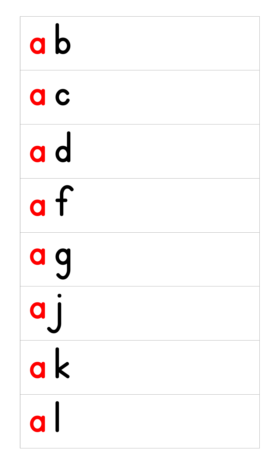| a b       |  |
|-----------|--|
| a c       |  |
| ad        |  |
| $\bullet$ |  |
| a g       |  |
| Q         |  |
| ak        |  |
| U I       |  |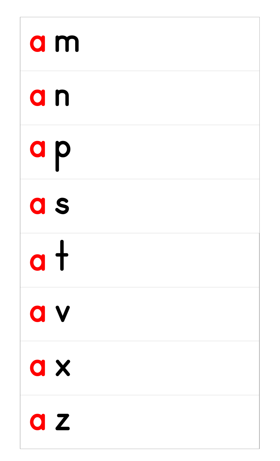| a m                          |  |
|------------------------------|--|
| a n                          |  |
| a p                          |  |
| a s                          |  |
| $\overline{a}$               |  |
| <b>av</b>                    |  |
| a x                          |  |
| $\mathbf{Z}$<br>$\mathbf{O}$ |  |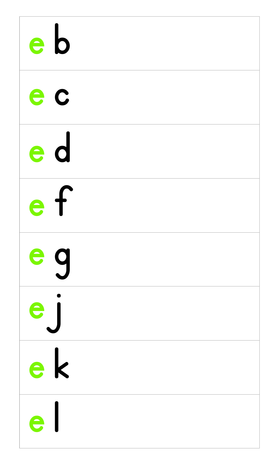| e b                                    |  |
|----------------------------------------|--|
| e c                                    |  |
| e d                                    |  |
| $\boldsymbol{\mathsf{L}}$<br>$\bullet$ |  |
| e q                                    |  |
| e                                      |  |
| e k                                    |  |
| $\overline{\phantom{a}}$               |  |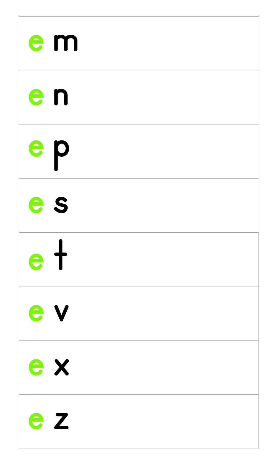| e m               |  |
|-------------------|--|
| en                |  |
| e p               |  |
| e s               |  |
| $e+$              |  |
| e v               |  |
| e x               |  |
| $\mathbf{Z}$<br>e |  |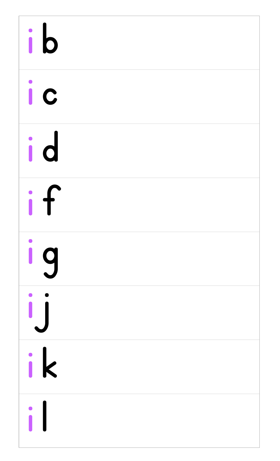| ib     |  |
|--------|--|
| ic     |  |
| id     |  |
| $\int$ |  |
| 9      |  |
|        |  |
| ik     |  |
|        |  |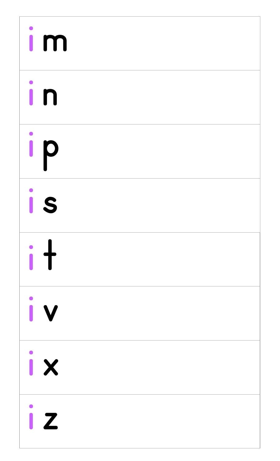| $\mathsf{I}$ |  |
|--------------|--|
| i n          |  |
| ip           |  |
| <b>is</b>    |  |
| i t          |  |
| i v          |  |
| ix           |  |
| $\mathbf Z$  |  |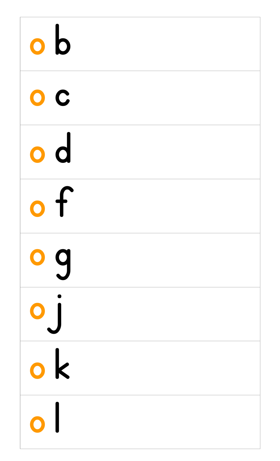| $\mathbf{o}$               |  |
|----------------------------|--|
| $\bullet$ $\bullet$        |  |
| $\overline{\mathbf{o}}$ d  |  |
| $\bigodot$                 |  |
| o g                        |  |
| 0                          |  |
| o k                        |  |
| $\overline{\mathcal{L}}$ . |  |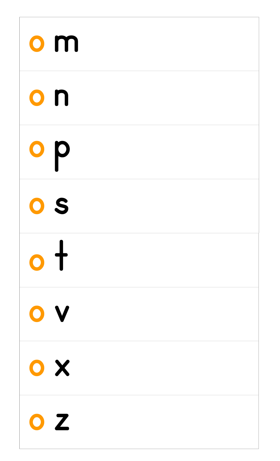| $\mathbf{o}$ m |  |
|----------------|--|
| o n            |  |
| op             |  |
| OS             |  |
| $\bullet$      |  |
| OV             |  |
| OX             |  |
| Z              |  |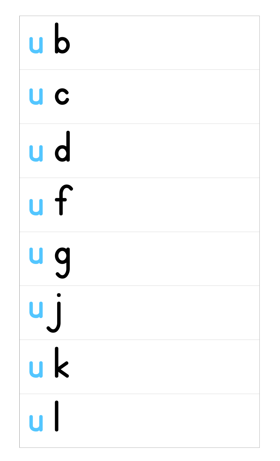| $\mathsf{u}\mathsf{b}$ |  |
|------------------------|--|
| U C                    |  |
| u d                    |  |
| $\mathbf \Gamma$<br>U  |  |
| u g                    |  |
| U)                     |  |
| <u>uk</u>              |  |
| $\mathbf{U}$           |  |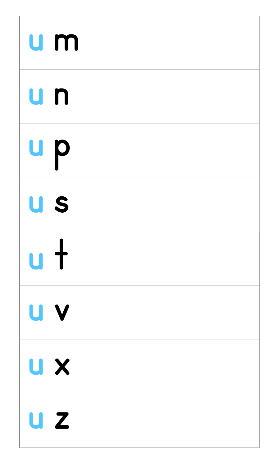| u m               |  |
|-------------------|--|
| u n               |  |
| u p               |  |
| U S               |  |
| u t               |  |
| U V               |  |
| U X               |  |
| $\mathbf{Z}$<br>U |  |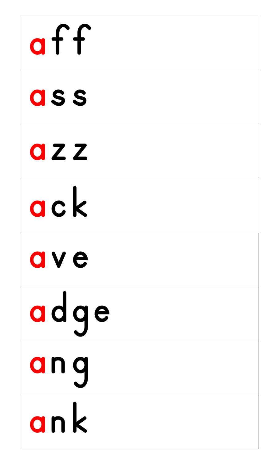![](_page_33_Picture_0.jpeg)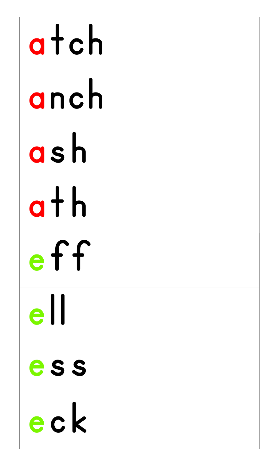| atch                                              |
|---------------------------------------------------|
| anch                                              |
| ash                                               |
| $a + h$                                           |
| eff                                               |
| $e$ II                                            |
| ess                                               |
| $\overline{\phantom{a}}$ $\overline{\phantom{a}}$ |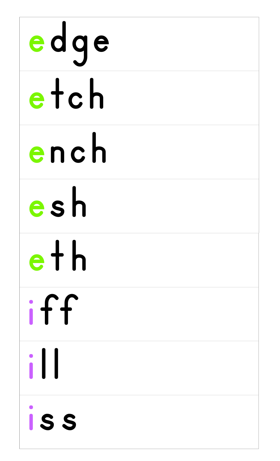| edge         |
|--------------|
| etch         |
| ench         |
| esh          |
| eth          |
| iff          |
| $\mathbf{1}$ |
| ISS          |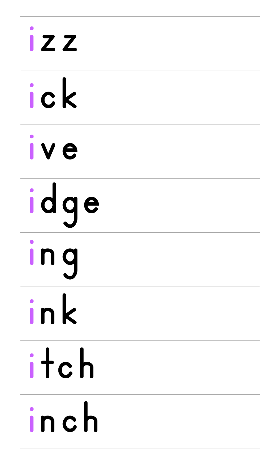| <b>IZZ</b> |
|------------|
| ick        |
| ive        |
| idge       |
| Ing        |
| ink        |
| itch       |
| C          |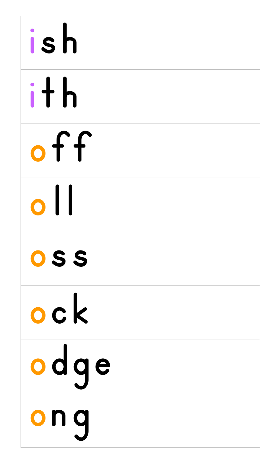| ish            |  |
|----------------|--|
| ith            |  |
| off            |  |
| H<br>$\bullet$ |  |
| OSS            |  |
| ock            |  |
| odqe           |  |
| $\bigodot$     |  |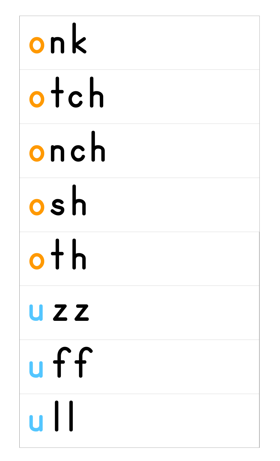## onk otch onch osh  $o$  th **UZZ** uff <u>u | l</u>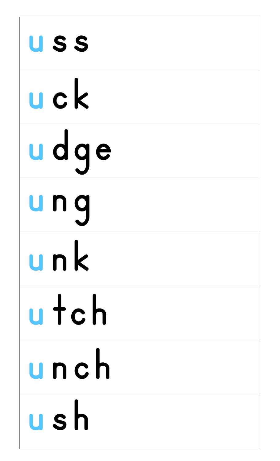| USS  |  |
|------|--|
| uck  |  |
| udqe |  |
| unq  |  |
| unk  |  |
| utch |  |
| unch |  |
| ush  |  |

Г

٦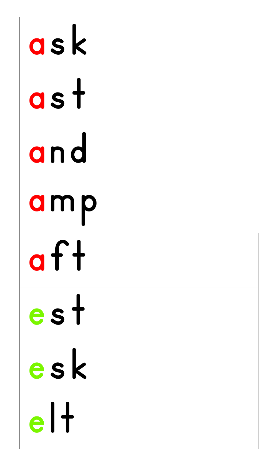| ask  |
|------|
| as t |
| and  |
| amp  |
| af   |
| est  |
| esk  |
|      |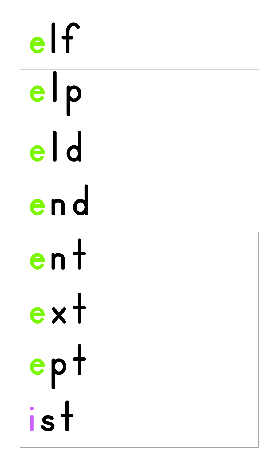| $e$ If |  |
|--------|--|
| elp    |  |
| eld    |  |
| end    |  |
| ent    |  |
| ext    |  |
| ept    |  |
|        |  |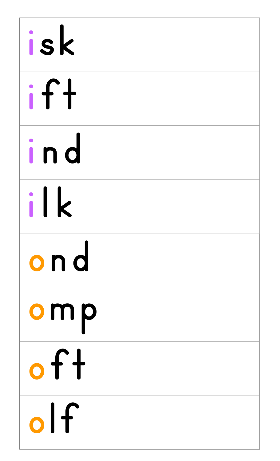| isk   |  |
|-------|--|
| if f  |  |
| ind   |  |
| ilk   |  |
| ond   |  |
| omp   |  |
| of f  |  |
| , , , |  |

I